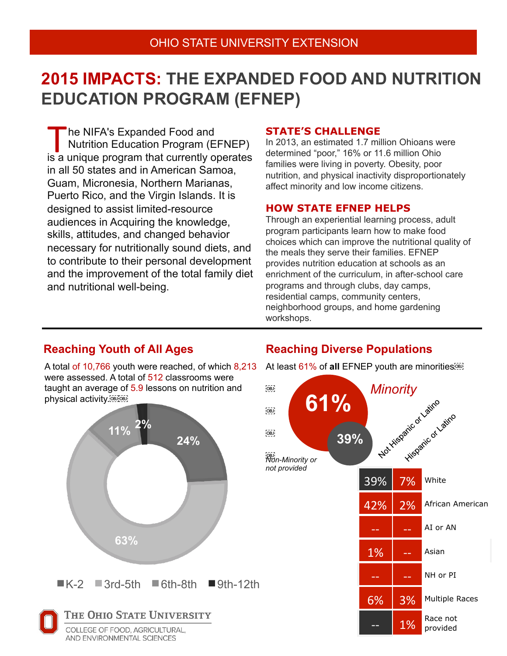# **2015 IMPACTS: THE EXPANDED FOOD AND NUTRITION EDUCATION PROGRAM (EFNEP)**

 he NIFA's Expanded Food and Nutrition Education Program (EFNEP) The NIFA's Expanded Food and<br>Nutrition Education Program (EFNEP)<br>is a unique program that currently operates in all 50 states and in American Samoa, Guam, Micronesia, Northern Marianas, Puerto Rico, and the Virgin Islands. It is designed to assist limited-resource audiences in Acquiring the knowledge, skills, attitudes, and changed behavior necessary for nutritionally sound diets, and to contribute to their personal development and the improvement of the total family diet and nutritional well-being.

### **STATE'S CHALLENGE**

In 2013, an estimated 1.7 million Ohioans were determined "poor," 16% or 11.6 million Ohio families were living in poverty. Obesity, poor nutrition, and physical inactivity disproportionately affect minority and low income citizens.

### **HOW STATE EFNEP HELPS**

Through an experiential learning process, adult program participants learn how to make food choices which can improve the nutritional quality of the meals they serve their families. EFNEP provides nutrition education at schools as an enrichment of the curriculum, in after-school care programs and through clubs, day camps, residential camps, community centers, neighborhood groups, and home gardening workshops.

A total of 10,766 youth were reached, of which 8,213 were assessed. A total of 512 classrooms were taught an average of 5.9 lessons on nutrition and physical activity.



## **Reaching Youth of All Ages <b>Reaching Diverse Populations**

At least 61% of **all** EFNEP youth are minorities